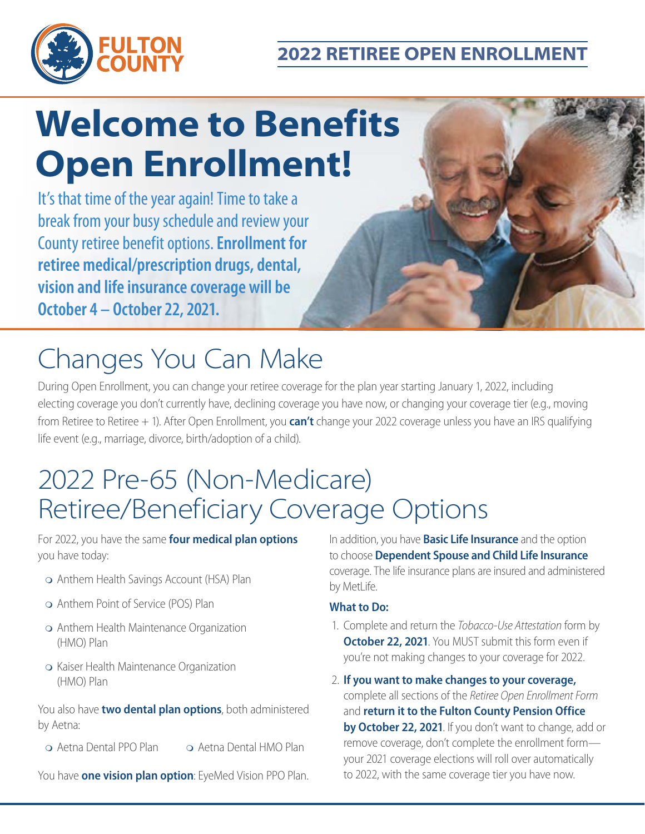



# **Welcome to Benefits Open Enrollment!**

It's that time of the year again! Time to take a break from your busy schedule and review your County retiree benefit options. **Enrollment for retiree medical/prescription drugs, dental, vision and life insurance coverage will be October 4 – October 22, 2021.**

## Changes You Can Make

During Open Enrollment, you can change your retiree coverage for the plan year starting January 1, 2022, including electing coverage you don't currently have, declining coverage you have now, or changing your coverage tier (e.g., moving from Retiree to Retiree + 1). After Open Enrollment, you **can't** change your 2022 coverage unless you have an IRS qualifying life event (e.g., marriage, divorce, birth/adoption of a child).

## 2022 Pre-65 (Non-Medicare) Retiree/Beneficiary Coverage Options

For 2022, you have the same **four medical plan options** you have today:

- Anthem Health Savings Account (HSA) Plan
- Anthem Point of Service (POS) Plan
- Anthem Health Maintenance Organization (HMO) Plan
- o Kaiser Health Maintenance Organization (HMO) Plan

You also have **two dental plan options**, both administered by Aetna:

Aetna Dental PPO Plan Aetna Dental HMO Plan

You have **one vision plan option**: EyeMed Vision PPO Plan.

In addition, you have **Basic Life Insurance** and the option to choose **Dependent Spouse and Child Life Insurance** coverage. The life insurance plans are insured and administered by MetLife.

### **What to Do:**

- 1. Complete and return the *Tobacco-Use Attestation* form by **October 22, 2021**. You MUST submit this form even if you're not making changes to your coverage for 2022.
- 2. **If you want to make changes to your coverage,** complete all sections of the *Retiree Open Enrollment Form* and **return it to the Fulton County Pension Office by October 22, 2021**. If you don't want to change, add or remove coverage, don't complete the enrollment form your 2021 coverage elections will roll over automatically to 2022, with the same coverage tier you have now.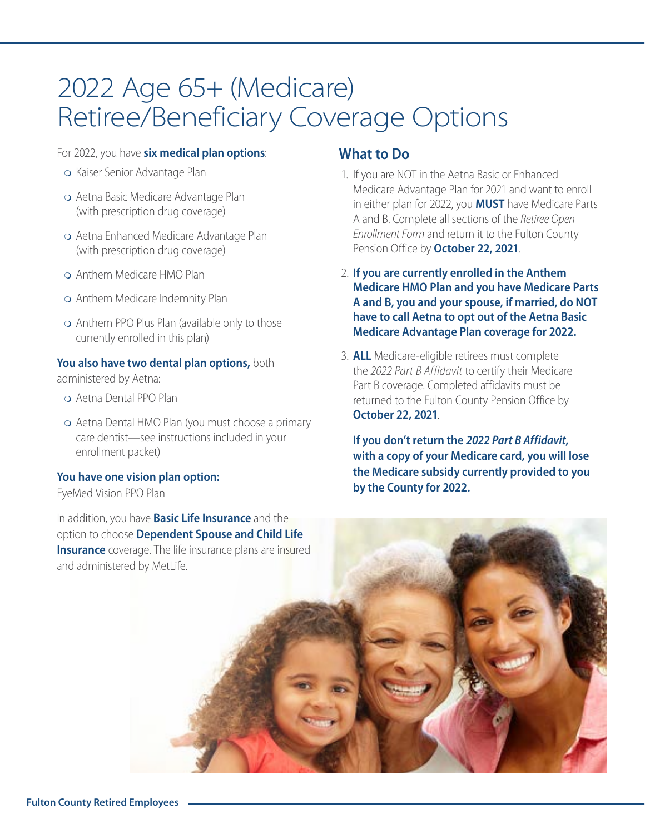## 2022 Age 65+ (Medicare) Retiree/Beneficiary Coverage Options

#### For 2022, you have **six medical plan options**:

- o Kaiser Senior Advantage Plan
- Aetna Basic Medicare Advantage Plan (with prescription drug coverage)
- Aetna Enhanced Medicare Advantage Plan (with prescription drug coverage)
- Anthem Medicare HMO Plan
- Anthem Medicare Indemnity Plan
- Anthem PPO Plus Plan (available only to those currently enrolled in this plan)

#### **You also have two dental plan options,** both

administered by Aetna:

- Aetna Dental PPO Plan
- Aetna Dental HMO Plan (you must choose a primary care dentist—see instructions included in your enrollment packet)

#### **You have one vision plan option:**

EyeMed Vision PPO Plan

In addition, you have **Basic Life Insurance** and the option to choose **Dependent Spouse and Child Life Insurance** coverage. The life insurance plans are insured and administered by MetLife.

### **What to Do**

- 1. If you are NOT in the Aetna Basic or Enhanced Medicare Advantage Plan for 2021 and want to enroll in either plan for 2022, you **MUST** have Medicare Parts A and B. Complete all sections of the *Retiree Open Enrollment Form* and return it to the Fulton County Pension Office by **October 22, 2021**.
- 2. **If you are currently enrolled in the Anthem Medicare HMO Plan and you have Medicare Parts A and B, you and your spouse, if married, do NOT have to call Aetna to opt out of the Aetna Basic Medicare Advantage Plan coverage for 2022.**
- 3. **ALL** Medicare-eligible retirees must complete the *2022 Part B Affidavit* to certify their Medicare Part B coverage. Completed affidavits must be returned to the Fulton County Pension Office by **October 22, 2021**.

**If you don't return the** *2022 Part B Affidavit***, with a copy of your Medicare card, you will lose the Medicare subsidy currently provided to you by the County for 2022.**

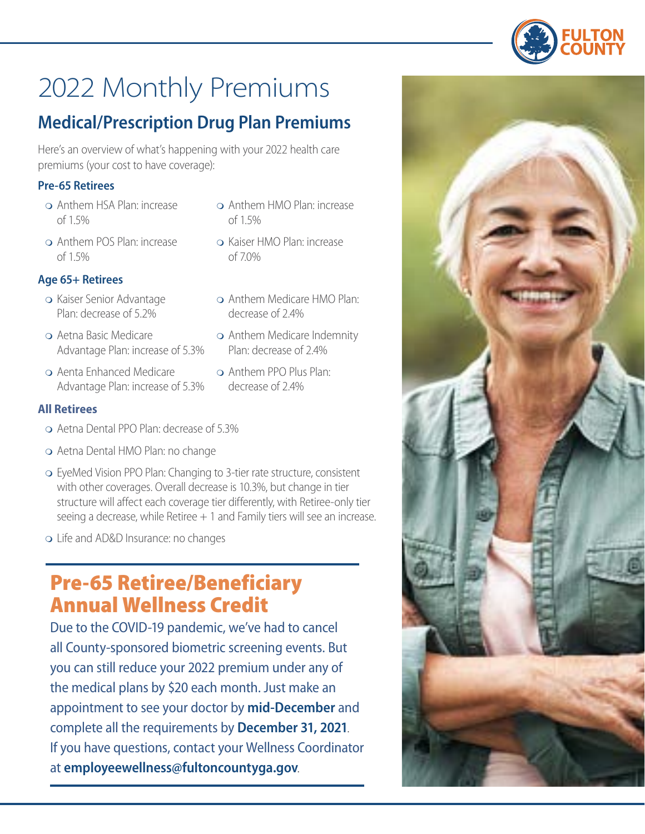

## 2022 Monthly Premiums

### **Medical/Prescription Drug Plan Premiums**

Here's an overview of what's happening with your 2022 health care premiums (your cost to have coverage):

### **Pre-65 Retirees**

- Anthem HSA Plan: increase of 1.5%
- Anthem POS Plan: increase of 1.5%

### **Age 65+ Retirees**

- o Kaiser Senior Advantage Plan: decrease of 5.2%
- Aetna Basic Medicare Advantage Plan: increase of 5.3%
- Aenta Enhanced Medicare Advantage Plan: increase of 5.3%

### **All Retirees**

- Aetna Dental PPO Plan: decrease of 5.3%
- Aetna Dental HMO Plan: no change
- EyeMed Vision PPO Plan: Changing to 3-tier rate structure, consistent with other coverages. Overall decrease is 10.3%, but change in tier structure will affect each coverage tier differently, with Retiree-only tier seeing a decrease, while Retiree  $+1$  and Family tiers will see an increase.
- Life and AD&D Insurance: no changes

## Pre-65 Retiree/Beneficiary Annual Wellness Credit

Due to the COVID-19 pandemic, we've had to cancel all County-sponsored biometric screening events. But you can still reduce your 2022 premium under any of the medical plans by \$20 each month. Just make an appointment to see your doctor by **mid-December** and complete all the requirements by **December 31, 2021**. If you have questions, contact your Wellness Coordinator at **[employeewellness@fultoncountyga.gov](mailto:employeewellness@fultoncountyga.gov)**.

- Anthem HMO Plan: increase of 1.5%
- Kaiser HMO Plan: increase of 7.0%
- Anthem Medicare HMO Plan: decrease of 2.4%
- Anthem Medicare Indemnity Plan: decrease of 2.4%
- Anthem PPO Plus Plan: decrease of 2.4%